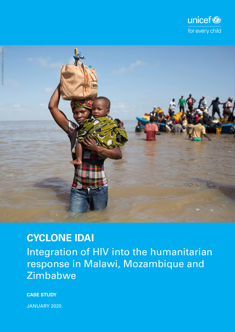



**CYCLONE IDAI** Integration of HIV into the humanitarian response in Malawi, Mozambique and Zimbabwe

**CASE STUDY**

JANUARY 2020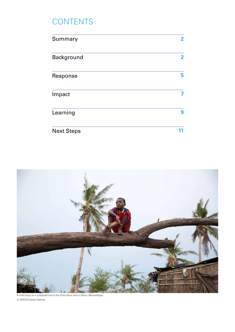# **CONTENTS**

| Summary           | $\overline{2}$ |
|-------------------|----------------|
| <b>Background</b> | $\overline{2}$ |
| Response          | 5              |
| Impact            |                |
| Learning          | 9              |
| <b>Next Steps</b> |                |



A child plays on a collapsed tree in the Praia Nova slum in Beira, Mozambique. © UNICEF/James Oatway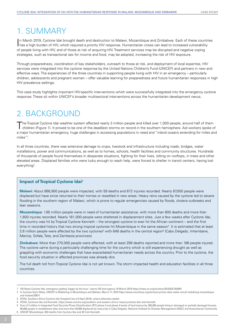## 1. Summary

In March 2019, Cyclone Idai brought death and destruction to Malawi, Mozambique and Zimbabwe. Each of these countrains a high burden of HIV, which required a priority HIV response. Humanitarian crises can lead to increased n March 2019, Cyclone Idai brought death and destruction to Malawi, Mozambique and Zimbabwe. Each of these countries of people living with HIV, and of those at risk of acquiring HIV. Treatment services may be disrupted and negative coping strategies, such as transactional sex for income and food, may be adopted, increasing the risk of HIV exposure.

Through preparedness, coordination of key stakeholders, outreach to those at risk, and deployment of local expertise, HIV services were integrated into the cyclone response by the United Nations Children's Fund (UNICEF) and partners in new and effective ways. The experiences of the three countries in supporting people living with HIV in an emergency – particularly children, adolescents and pregnant women – offer valuable learning for preparedness and future humanitarian responses in high HIV prevalence settings.

This case study highlights important HIV-specific interventions which were successfully integrated into the emergency cyclone response. These sit within UNICEF's broader multisectoral interventions across the humanitarian development nexus.

## 2. Background

The Tropical Cyclone Idai weather system affected nearly 3 million people and killed over 1,000 people, around half of them children (Figure 1). It proved to be one of the deadliest storms on record in the southern hemisphere. Aid workers spoke of a major humanitarian emergency, huge challenges in accessing populations in need and "inland oceans extending for miles and miles"1 .

In all three countries, there was extensive damage to crops, livestock and infrastructure including roads, bridges, water installations, power and communications, as well as to homes, schools, health facilities and community structures. Hundreds of thousands of people found themselves in desperate situations, fighting for their lives, sitting on rooftops, in trees and other elevated areas. Displaced families who were lucky enough to reach help, were forced to shelter in transit centers, having lost everything<sup>2</sup>.

#### **Impact of Tropical Cyclone Idai**<sup>3</sup>

**Malawi:** About 868,900 people were impacted, with 59 deaths and 672 injuries recorded. Nearly 87,000 people were displaced but have since returned to their homes or resettled in new areas. Heavy rains caused by the cyclone led to severe flooding in the southern region of Malawi, which is prone to regular emergencies caused by floods, cholera outbreaks and lean seasons.

**Mozambique:** 1.85 million people were in need of humanitarian assistance, with more than 600 deaths and more than 1,600 injuries recorded. Nearly 161,000 people were sheltered in displacement sites. Just a few weeks after Cyclone Idai, the country was hit by Tropical Cyclone Kenneth – the strongest cyclone to ever hit the African continent – and the first time in recorded history that two strong tropical cyclones hit Mozambique in the same season<sup>4</sup>. It is estimated that at least 2.6 million people were affected by the two cyclones<sup>5</sup> with 648 deaths in the central region<sup>6</sup> (Cabo Delgado, Inhambane, Manica, Sofala, Tete, and Zambezia provinces).

**Zimbabwe:** More than 270,000 people were affected, with at least 299 deaths reported and more than 186 people injured. The cyclone came during a particularly challenging time for the country which is still experiencing drought as well as grappling with economic challenges that have exacerbated humanitarian needs across the country. Prior to the cyclone, the food security situation in affected provinces was already dire.

The full death toll from Tropical Cyclone Idai is not yet known. The storm impacted health and education facilities in all three countries.

<sup>1</sup> UN News Cyclone Idai: emergency getting 'bigger by the hour', warns UN food agency 19 March 2019 https://news.un.org/en/story/2019/03/1034951

<sup>2</sup> In Cyclone Idai's Wake, UNICEF Is Mobilizing in Mozambique and Malawi, March 17, 2019 https://www.unicefusa.org/stories/cyclone-idais-wake-unicef-mobilizing-mozambiqueand-malawi/35671

OCHA, Southern Africa Cyclone Idai Snapshot (as of 9 April 2019), unless otherwise stated.

<sup>4</sup> OCHA, Cyclones Idai and Kenneth, https://www.unocha.org/southern-and-eastern-africa-rosea/cyclones-idai-and-kenneth

<sup>5</sup> Sum of 2 million in Integrated Food Security Phase Classification (IPC) phase 3 and phase 4 levels of food insecurity, 500,000 people living in damaged or partially damaged houses, 60,000 people in resettlement sites and more than 59,000 displaced by insecurity in Cabo Delgado, National Institute for Disaster Management (INGC) and Humanitarian Community. 6 UNICEF Mozambique: 603 deaths from Cyclone Idai and 45 from Kenneth.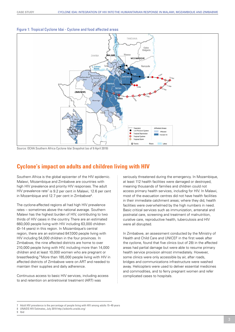

#### Figure 1: Tropical Cyclone Idai - Cyclone and food affected areas

Source: OCHA Southern Africa Cyclone Idai Snapshot (as of 9 April 2019)

## **Cyclone's impact on adults and children living with HIV**

Southern Africa is the global epicenter of the HIV epidemic. Malawi, Mozambique and Zimbabwe are countries with high HIV prevalence and priority HIV responses. The adult HIV prevalence rate<sup>7</sup> is 9.2 per cent in Malawi, 12.6 per cent in Mozambique and 12.7 per cent in Zimbabwe $^8$ .

The cyclone-affected regions all had high HIV prevalence rates – sometimes above the national average. Southern Malawi has the highest burden of HIV, contributing to two thirds of HIV cases in the country. There are an estimated 660,000 people living with HIV including 63,000 children (0–14 years) in this region. In Mozambique's central region, there are an estimated 847,000 people living with HIV including 54,000 children in the four provinces. In Zimbabwe, the nine affected districts are home to over 210,000 people living with HIV, including more than 14,000 children and at least 10,000 women who are pregnant or breastfeeding.9 More than 185,000 people living with HIV in affected districts of Zimbabwe were on ART and needed to maintain their supplies and daily adherence.

Continuous access to basic HIV services, including access to and retention on antiretroviral treatment (ART) was

seriously threatened during the emergency. In Mozambique, at least 112 health facilities were damaged or destroyed, meaning thousands of families and children could not access primary health services, including for HIV. In Malawi, most of the evacuation centres did not have health facilities in their immediate catchment areas; where they did, health facilities were overwhelmed by the high numbers in need. Basic critical services such as immunization, antenatal and postnatal care, screening and treatment of malnutrition, curative care, reproductive health, tuberculosis and HIV were all disrupted.

In Zimbabwe, an assessment conducted by the Ministry of Health and Child Care and UNICEF in the first week after the cyclone, found that five clinics (out of 28) in the affected areas had partial damage but were able to resume primary health service provision almost immediately. However, some clinics were only accessible by air, after roads, bridges and communications infrastructure were washed away. Helicopters were used to deliver essential medicines and commodities, and to ferry pregnant women and refer complicated cases to hospitals.

9 Ibid

<sup>7</sup> Adult HIV prevalence is the percentage of people living with HIV among adults 15–49 years

<sup>8</sup> UNAIDS HIV Estimates, July 2019 http://aidsinfo.unaids.org/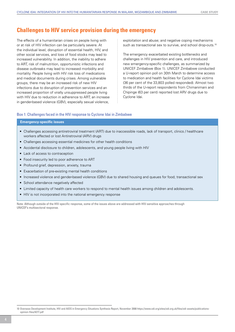### **Challenges to HIV service provision during the emergency**

The effects of a humanitarian crises on people living with or at risk of HIV infection can be particularly severe. At the individual level, disruption of essential health, HIV, and other social services, and loss of food stocks may lead to increased vulnerability. In addition, the inability to adhere to ART, risk of malnutrition, opportunistic infections and disease outbreaks may lead to increased morbidity and mortality. People living with HIV risk loss of medications and medical documents during crises. Among vulnerable groups, there may be an increased risk of new HIV infections due to disruption of prevention services and an increased proportion of virally unsuppressed people living with HIV due to reduction in adherence to ART; an increase in gender-based violence (GBV), especially sexual violence,

exploitation and abuse; and negative coping mechanisms such as transactional sex to survive, and school drop-outs.<sup>10</sup>

The emergency exacerbated existing bottlenecks and challenges in HIV prevention and care, and introduced new emergency-specific challenges, as summarized by UNICEF Zimbabwe (Box 1). UNICEF Zimbabwe conducted a U-report opinion poll on 30th March to determine access to medication and health facilities for Cyclone Idai victims (36 per cent of the 33,803 polled responded). Almost two thirds of the U-report respondents from Chimanimani and Chipinge (63 per cent) reported lost ARV drugs due to Cyclone Idai.

#### Box 1: Challenges faced in the HIV response to Cyclone Idai in Zimbabwe

#### **Emergency-specific issues**

- • Challenges accessing antiretroviral treatment (ART) due to inaccessible roads, lack of transport, clinics / healthcare workers affected or lost Antiretroviral (ARV) drugs
- Challenges accessing essential medicines for other health conditions
- Accidental disclosure to children, adolescents, and young people living with HIV
- Lack of access to contraception
- Food insecurity led to poor adherence to ART
- Profound grief, depression, anxiety, trauma
- Exacerbation of pre-existing mental health conditions
- Increased violence and gender-based violence (GBV) due to shared housing and queues for food; transactional sex
- School attendance negatively affected
- • Limited capacity of health care workers to respond to mental health issues among children and adolescents.
- HIV is not incorporated into the national emergency response

Note: Although outside of the HIV-specific response, some of the issues above are addressed with HIV-sensitive approaches through UNICEF's multisectoral response.

<sup>10</sup> Overseas Development Institute, HIV and AIDS in Emergency Situations Synthesis Report, November 2008 https://www.odi.org/sites/odi.org.uk/files/odi-assets/publicationsopinion-files/4277.pdf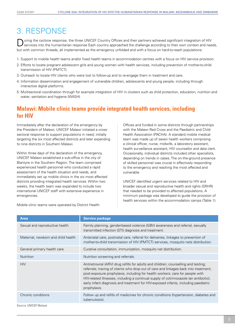## 3. Response

Uning the cyclone response, the three UNICEF Country Offices and their partners achieved significant integration of HIV<br>Services into the humanitarian response Each country approached the challenge according to their own c but with common threads, all implemented as the emergency unfolded and with a focus on hard-to-reach populations:

- 1. Support to mobile health teams and/or fixed health teams in accommodation centres with a focus on HIV service provision.
- 2. Efforts to locate pregnant adolescent girls and young women with health services, including prevention of mother-to-child transmission of HIV (PMTCT).
- 3. Outreach to locate HIV clients who were lost to follow-up and to re-engage them in treatment and care.
- 4. Information dissemination and engagement of vulnerable children, adolescents and young people, including through interactive digital platforms.
- 5. Multisectoral coordination through for example integration of HIV in clusters such as child protection, education, nutrition and water, sanitation and hygiene (WASH).

### **Malawi: Mobile clinic teams provide integrated health services, including for HIV**

Immediately after the declaration of the emergency by the President of Malawi, UNICEF Malawi initiated a crosssectoral response to support populations in need, initially targeting the six most affected districts and later expanding to nine districts in Southern Malawi.

Within three days of the declaration of the emergency, UNICEF Malawi established a sub-office in the city of Blantyre in the Southern Region. The team comprised experienced health personnel who conducted a rapid assessment of the health situation and needs, and immediately set up mobile clinics in the six most affected districts providing integrated health services. Within two weeks, the health team was expanded to include two international UNICEF staff with extensive experience in emergencies.

Offices and funded in some districts through partnerships with the Malawi Red Cross and the Paediatric and Child Health Association (PACHA). A standard mobile medical team was made up of seven health workers comprising a clinical officer, nurse, midwife, a laboratory assistant, health surveillance assistant, HIV counsellor and data clerk. Occasionally, individual districts included other specialists, depending on trends in cases. The on-the-ground presence of skilled personnel was crucial in effectively responding to the emergency and reaching the most affected and vulnerable.

UNICEF identified urgent services related to HIV and broader sexual and reproductive health and rights (SRHR) that needed to be provided to affected populations. A minimum package was developed to guide the provision of health services within the accommodation camps (Table 1).

Sexual and reproductive health Family planning, gender-based violence (GBV) awareness and referral, sexually transmitted infection (STI) diagnosis and treatment. General primary health care Curative consultation, immunization, mosquito net distribution. HIV **Antiretroviral (ARV)** drug refills for adults and children; counselling and testing; referrals; tracing of clients who drop out of care and linkages back into treatment; post-exposure prophylaxis, including for health workers; care for people with HIV-related illnesses, including a continual supply of cotrimoxazole (an antibiotic); early infant diagnosis and treatment for HIV-exposed infants, including paediatric prophylaxis. Maternal, newborn and child health Antenatal care, postnatal care, referral for deliveries, linkages to prevention of mother-to-child transmission of HIV (PMTCT) services, mosquito nets distribution. Nutrition Nutrition screening and referrals. Chronic conditions Follow up and refills of medicines for chronic conditions (hypertension, diabetes and tuberculosis). **Area Service package Service package** 

Mobile clinic teams were operated by District Health

Source: UNICEF Malawi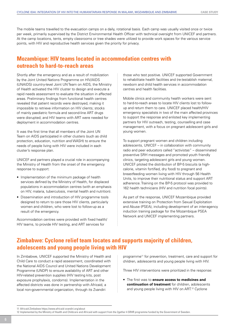The mobile teams travelled to the evacuation camps on a daily, rotational basis. Each camp was usually visited once or twice per week, primarily supervised by the District Environmental Health Officer with technical oversight from UNICEF and partners. At the camp locations, tents, empty classrooms or tree shades were utilized to provide work spaces for the various service points, with HIV and reproductive health services given the priority for privacy.

## **Mozambique: HIV teams located in accommodation centres with outreach to hard-to-reach areas**

Shortly after the emergency and as a result of mobilization by the Joint United Nations Programme on HIV/AIDS (UNAIDS) country-level Joint UN Team on AIDS, the Ministry of Health activated the HIV cluster to design and execute a rapid needs assessment to evaluate the situation in affected areas. Preliminary findings from functional health centres revealed that patient records were destroyed, making it impossible to retrieve information on HIV clients; stocks of mainly paediatric formula and second-line ART drugs were disrupted; and HIV teams with ART were needed for deployment in accommodation centres.

It was the first time that all members of the Joint UN Team on AIDS participated in other clusters (such as child protection, education, nutrition and WASH) to ensure the needs of people living with HIV were included in each cluster's response plan.

UNICEF and partners played a crucial role in accompanying the Ministry of Health from the onset of the emergency response to support:

- Implementation of the minimum package of health services defined by the Ministry of Health, for displaced populations in accommodation centres (with an emphasis on HIV, malaria, tuberculosis, mental health and nutrition).
- Dissemination and introduction of HIV programme tools designed to return to care those HIV clients, particularly women and children, who were lost to follow-up as a result of the emergency.

Accommodation centres were provided with fixed health/ HIV teams, to provide HIV testing, and ART services for

those who test positive. UNICEF supported Government to rehabilitate health facilities and (re-)establish maternal, newborn and child health services in accommodation centres and health facilities.

Mobile clinics and community health workers were sent to hard-to-reach areas to locate HIV clients lost to followup and return them to care. UNICEF placed health/HIV emergency specialists in two of the main affected provinces to support the response and enlisted key implementing partners for HIV outreach, testing, counselling and case management, with a focus on pregnant adolescent girls and young women.

To support pregnant women and children including adolescents, UNICEF – in collaboration with community radio and peer educators called "activistas" – disseminated preventive SRH messages and promoted youth friendly clinics, targeting adolescent girls and young women. UNICEF piloted the distribution of BP-5 biscuits (a highcalorie, vitamin fortified, dry food) to pregnant and breastfeeding women living with HIV through 56 Health Units, to improve their nutritional status and support ART adherence. Training on the BP-5 protocol was provided to 162 health technicians (HIV and nutrition focal points).

As part of the response, UNICEF Mozambique provided extensive training on Protection from Sexual Exploitation and Abuse (PSEA), including development of an inter-agency induction training package for the Mozambique PSEA Network and UNICEF implementing partners.

## **Zimbabwe: Cyclone relief team locates and supports majority of children, adolescents and young people living with HIV**

In Zimbabwe, UNICEF supported the Ministry of Health and Child Care to conduct a rapid assessment, coordinated with the National AIDS Council and United Nations Development Programme (UNDP) to ensure availability of ART and other HIV-related prevention supplies (HIV testing kits, post exposure prophylaxis, condoms). Implementation in the affected districts was done in partnership with Africaid, a local non-governmental organization, through its Zvandiri

programme<sup>11</sup> for prevention, treatment, care and support for children, adolescents and young people living with HIV.

Three HIV interventions were prioritized in the response:

• The first was to **ensure access to medicines and continuation of treatment** for children, adolescents and young people living with HIV on ART.<sup>12</sup> Cyclone

<sup>11</sup> Africaid Zimbabwe https://www.africaid-zvandiri.org/about

<sup>12</sup> Implemented by the Ministry of Health and Childcare and Africaid with support from the 2gether 4 SRHR programme funded by the Government of Sweden.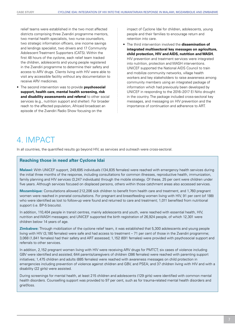relief teams were established in the two most affected districts comprising three Zvandiri programme mentors, two mental health specialists, two nurse counsellors, two strategic information officers, one income savings and lendings specialist, two drivers and 17 Community Adolescent Treatment Supporters (CATS). Within the first 48 hours of the cyclone, each relief team tracked the children, adolescents and young people registered in the Zvandiri programme to determine their safety and access to ARV drugs. Clients living with HIV were able to visit any accessible facility without any documentation to receive ARV medicines.

• The second intervention was to provide **psychosocial support, health care, mental health screening, risk and disability assessments and referral** to other social services (e.g., nutrition support and shelter). For broader reach to the affected population, Africaid broadcast an episode of the Zvandiri Radio Show focusing on the

impact of Cyclone Idai for children, adolescents, young people and their families to encourage return and retention into care.

• The third intervention involved the **dissemination of integrated multisectoral key messages on agriculture, child protection, HIV and AIDS, nutrition and WASH.** HIV prevention and treatment services were integrated into nutrition, protection and WASH interventions. UNICEF supported the National AIDS Council to train and mobilize community networks, village health workers and key stakeholders to raise awareness among community members using an integrated package of information which had previously been developed by UNICEF in responding to the 2016–2017 El Niño drought in the country. The package included cross-sectoral key messages, and messaging on HIV prevention and the importance of continuation and adherence to ART.

## 4. Impact

In all countries, the quantified results go beyond HIV, as services and outreach were cross-sectoral.

#### **Reaching those in need after Cyclone Idai**

**Malawi:** With UNICEF support, 249,695 individuals (134,835 females) were reached with emergency health services during the initial three months of the response, including consultations for common illnesses, reproductive health, immunization, family planning and HIV services (3,247 individuals) through the mobile strategy. Of these, 25 per cent were children under five years. Although services focused on displaced persons, others within those catchment areas also accessed services.

**Mozambique:** Consultations allowed 212,206 sick children to benefit from health care and treatment, and 1,760 pregnant women were reached in prenatal consultations. For pregnant and breastfeeding women living with HIV, 91 per cent (of 188) who were identified as lost to follow-up were found and returned to care and treatment; 1,011 benefited from nutritional support (i.e. BP-5 biscuits).

In addition, 110,404 people in transit centres, mainly adolescents and youth, were reached with essential health, HIV, nutrition and WASH messages; and UNICEF supported the birth registration of 26,924 people, of which 12,301 were children below 14 years of age.

**Zimbabwe:** Through mobilization of the cyclone relief team, it was established that 5,300 adolescents and young people living with HIV (3,180 females) were safe and had access to treatment – 71 per cent of those in the Zvandiri programme; 3,068 (1,841 females) had their safety and ART assessed; 1,152 (691 females) were provided with psychosocial support and referrals to other services.

In addition, 2,152 pregnant women living with HIV were receiving ARV drugs for PMTCT; six cases of violence including GBV were identified and assisted; 644 parents/caregivers of children (386 females) were reached with parenting support initiatives; 1,475 children and adults (885 females) were reached with awareness messages on child protection in emergencies including prevention of violence against children and GBV, and PSEA; and 37 children living with HIV and with a disability (22 girls) were assisted.

During screenings for mental health, at least 215 children and adolescents (129 girls) were identified with common mental health disorders. Counselling support was provided to 97 per cent, such as for trauma-related mental health disorders and grief/loss.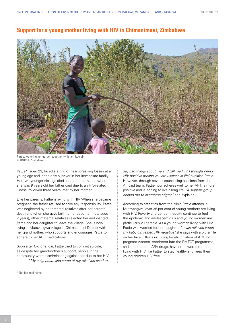

### **Support for a young mother living with HIV in Chimanimani, Zimbabwe**

Pattie, watering her garden together with her little girl © UNICEF Zimbabwe

Pattie<sup>\*</sup>, aged 23, faced a string of heart-breaking losses at a young age and is the only survivor in her immediate family. Her two younger siblings died soon after birth, and when she was 9 years old her father died due to an HIV-related illness, followed three years later by her mother.

Like her parents, Pattie is living with HIV. When she became pregnant, the father refused to take any responsibility. Pattie was neglected by her paternal relatives after her parents' death and when she gave birth to her daughter (now aged 2 years), other maternal relatives rejected her and wanted Pattie and her daughter to leave the village. She is now living in Mutsvangwa village in Chimanimani District with her grandmother, who supports and encourages Pattie to adhere to her ARV medications.

Soon after Cyclone Idai, Pattie tried to commit suicide, as despite her grandmother's support, people in the community were discriminating against her due to her HIV status. *"My neighbours and some of my relatives used to* 

\* Not her real name

*say bad things about me and call me HIV. I thought being HIV positive means you are useless in life"* explains Pattie. However, through several counselling sessions from the Africaid team, Pattie now adheres well to her ART, is more positive and is hoping to live a long life. *"A support group helped me to overcome stigma",* she explains.

According to statistics from the clinic Pattie attends in Mutsvangwa, over 35 per cent of young mothers are living with HIV. Poverty and gender inequity continue to fuel the epidemic and adolescent girls and young women are particularly vulnerable. As a young woman living with HIV, Pattie was worried for her daughter. *"I was relieved when my baby girl tested HIV negative",* she says with a big smile on her face. Efforts including timely initiation of ART for pregnant women, enrolment into the PMTCT programme, and adherence to ARV drugs, have empowered mothers living with HIV like Pattie, to stay healthy and keep their young children HIV free.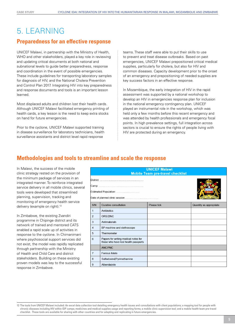## 5. Learning

### **Preparedness for an effective response**

UNICEF Malawi, in partnership with the Ministry of Health, WHO and other stakeholders, played a key role in reviewing and updating critical documents at both national and subnational levels to guide better preparedness, response and coordination in the event of possible emergencies. These include guidelines for transporting laboratory samples for diagnosis of HIV, and the National Cholera Prevention and Control Plan 2017. Integrating HIV into key preparedness and response documents and tools is an important lesson learned.

Most displaced adults and children lost their health cards. Although UNICEF Malawi facilitated emergency printing of health cards, a key lesson is the need to keep extra stocks on hand for future emergencies.

Prior to the cyclone, UNICEF Malawi supported training in disease surveillance for laboratory technicians, health surveillance assistants and district level rapid response

teams. These staff were able to put their skills to use to prevent and treat disease outbreaks. Based on past emergencies, UNICEF Malawi prepositioned critical medical supplies, particularly for cholera, but also for HIV and common diseases. Capacity development prior to the onset of an emergency and prepositioning of needed supplies are key success factors in an effective response.

In Mozambique, the early integration of HIV in the rapid assessment was supported by a national workshop to develop an HIV in emergencies response plan for inclusion in the national emergency contingency plan. UNICEF played an instrumental role in the workshop, which was held only a few months before this recent emergency and was attended by health professionals and emergency focal points. In high prevalence settings, full integration across sectors is crucial to ensure the rights of people living with HIV are protected during an emergency.

### **Methodologies and tools to streamline and scale the response**

In Malawi, the success of the mobile clinic strategy rested on the provision of the minimum package of services in an integrated manner. To reinforce integrated service delivery in all mobile clinics, several tools were developed that streamlined planning, supervision, tracking and monitoring of emergency health service delivery (example on right).<sup>13</sup>

In Zimbabwe, the existing Zvandiri programme in Chipinge district and its network of trained and mentored CATS enabled a rapid scale up of activities in response to the cyclone. In Chimanimani where psychosocial support services did not exist, the model was rapidly replicated through partnership with the Ministry of Health and Child Care and district stakeholders. Building on these existing proven models was key to the successful response in Zimbabwe.

| <b>UNILEF Malawi</b><br><b>Mobile Team pre-travel checklist</b> |                                                                              |             |                         |  |
|-----------------------------------------------------------------|------------------------------------------------------------------------------|-------------|-------------------------|--|
|                                                                 |                                                                              |             |                         |  |
| S/N                                                             | <b>Curative consultation</b>                                                 | Please tick | Quantity as appropriate |  |
| 1                                                               | Antibiotics                                                                  |             |                         |  |
| $\overline{2}$                                                  | ORS/ZINC                                                                     |             |                         |  |
| 3                                                               | <b>Antimalarials</b>                                                         |             |                         |  |
| $\overline{\mathbf{4}}$                                         | BP machine and stethoscope                                                   |             |                         |  |
| 5                                                               | Thermometer                                                                  |             |                         |  |
| 6                                                               | Papers for writing medical notes for<br>those who have lost health passports |             |                         |  |
|                                                                 | <b>ANC/PNC</b>                                                               |             |                         |  |
| $\overline{7}$                                                  | Ferrous folate                                                               |             |                         |  |
| 8                                                               | Sulfadoxine/Pyrimethamine                                                    |             |                         |  |
| 9                                                               | Albendazole                                                                  |             |                         |  |

<sup>13</sup> The tools from UNICEF Malawi included: An excel data collection tool detailing emergency health issues and consultations with client populations; a mapping tool for people with chronic diseases including HIV within IDP camps; medicines and medical supplies usage and reporting forms; a mobile clinic supervision tool; and a mobile health team pre-travel checklist. These tools are available for sharing with other countries and for adapting and replicating in future emergencies.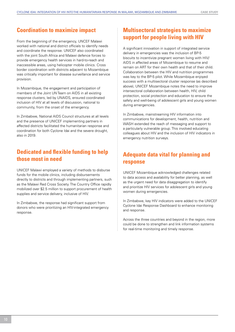### **Coordination to maximize impact**

From the beginning of the emergency, UNCEF Malawi worked with national and district officials to identify needs and coordinate the response. UNICEF also coordinated with the joint South Africa and Malawi defence forces to provide emergency health services in hard-to-reach and inaccessible areas, using helicopter mobile clinics. Cross border coordination with districts adjacent to Mozambique was critically important for disease surveillance and service provision.

In Mozambique, the engagement and participation of members of the Joint UN Team on AIDS in all existing response clusters, led by UNAIDS, ensured coordinated inclusion of HIV at all levels of discussion, national to community, from the onset of the emergency.

In Zimbabwe, National AIDS Council structures at all levels and the presence of UNICEF implementing partners in affected districts facilitated the humanitarian response and coordination for both Cyclone Idai and the severe drought, also in 2019.

## **Dedicated and flexible funding to help those most in need**

UNICEF Malawi employed a variety of methods to disburse funds for the mobile clinics, including disbursements directly to districts and through implementing partners, such as the Malawi Red Cross Society. The Country Office rapidly mobilized over \$2.5 million to support procurement of health supplies and service delivery, inclusive of HIV.

In Zimbabwe, the response had significant support from donors who were prioritizing an HIV-integrated emergency response.

## **Multisectoral strategies to maximize support for people living with HIV**

A significant innovation in support of integrated service delivery in emergencies was the inclusion of BP-5 biscuits to incentivize pregnant women living with HIV/ AIDS in affected areas of Mozambique to resume and remain on ART for their own health and that of their child. Collaboration between the HIV and nutrition programmes was key to the BP-5 pilot. While Mozambique enjoyed success with a multisectoral cluster response (as described above), UNICEF Mozambique notes the need to improve intersectoral collaboration between health, HIV, child protection, social protection and education to ensure the safety and well-being of adolescent girls and young women during emergencies.

In Zimbabwe, mainstreaming HIV information into communications for development, health, nutrition and WASH extended the reach of messaging and support to a particularly vulnerable group. This involved educating colleagues about HIV and the inclusion of HIV indicators in emergency nutrition surveys.

## **Adequate data vital for planning and response**

UNICEF Mozambique acknowledged challenges related to data access and availability for better planning, as well as the urgent need for data disaggregation to identify and prioritize HIV services for adolescent girls and young women during emergencies.

In Zimbabwe, key HIV indicators were added to the UNICEF Cyclone Idai Response Dashboard to enhance monitoring and response.

Across the three countries and beyond in the region, more could be done to strengthen and link information systems for real-time monitoring and timely response.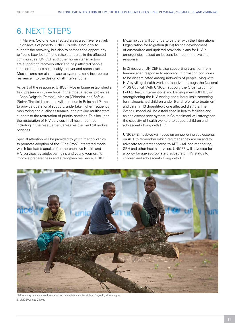## 6. Next steps

In Malawi, Cyclone Idai affected areas also have related high levels of poverty. UNICEF's role is not only to n Malawi, Cyclone Idai affected areas also have relatively support the recovery, but also to harness the opportunity to "build back better" and raise standards in the affected communities. UNICEF and other humanitarian actors are supporting recovery efforts to help affected people and communities sustainably recover and reconstruct. Mechanisms remain in place to systematically incorporate resilience into the design of all interventions.

As part of the response, UNICEF Mozambique established a field presence in three hubs in the most affected provinces – Cabo Delgado (Pemba), Manica (Chimoio), and Sofala (Beira). The field presence will continue in Beira and Pemba to provide operational support, undertake higher frequency monitoring and quality assurance, and provide multisectoral support to the restoration of priority services. This includes the restoration of HIV services in all health centres, including in the resettlement areas via the medical mobile brigades.

Special attention will be provided to youth friendly clinics to promote adoption of the "One Stop" integrated model which facilitates uptake of comprehensive Health and HIV services by adolescent girls and young women. To improve preparedness and strengthen resilience, UNICEF Mozambique will continue to partner with the International Organization for Migration (IOM) for the development of customized and updated provincial plans for HIV in emergencies, based on lessons learned in the cyclone response.

In Zimbabwe, UNICEF is also supporting transition from humanitarian response to recovery. Information continues to be disseminated among networks of people living with HIV by village health workers mobilized through the National AIDS Council. With UNICEF support, the Organization for Public Health Interventions and Development (OPHID) is strengthening the HIV testing and tuberculosis screening for malnourished children under 5 and referral to treatment and care, in 13 drought/cyclone affected districts. The Zvandiri model will be established in health facilities and an adolescent peer system in Chimanimani will strengthen the capacity of health workers to support children and adolescents living with HIV.

UNICEF Zimbabwe will focus on empowering adolescents on ART to remember which regimens they are on and to advocate for greater access to ART, viral load monitoring, SRH and other health services. UNICEF will advocate for a policy for age appropriate disclosure of HIV status to children and adolescents living with HIV.



Children play on a collapsed tree at an accommodation centre at John Segredo, Mozambique. © UNICEF/James Oatway